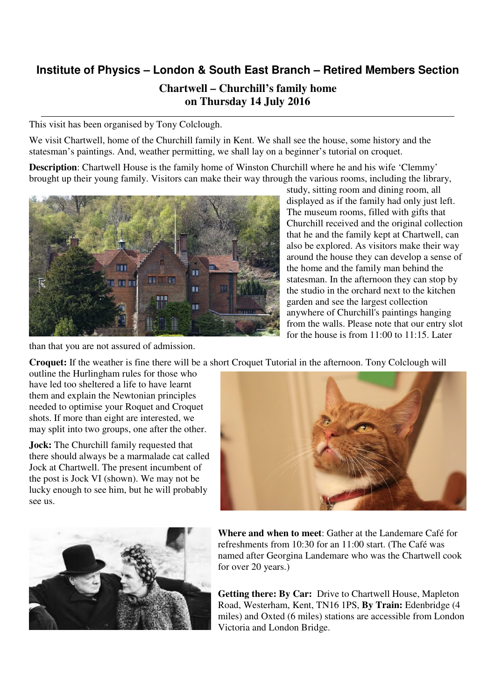## **Institute of Physics – London & South East Branch – Retired Members Section Chartwell – Churchill's family home on Thursday 14 July 2016**

This visit has been organised by Tony Colclough.

We visit Chartwell, home of the Churchill family in Kent. We shall see the house, some history and the statesman's paintings. And, weather permitting, we shall lay on a beginner's tutorial on croquet.

**Description**: Chartwell House is the family home of Winston Churchill where he and his wife 'Clemmy' brought up their young family. Visitors can make their way through the various rooms, including the library,



study, sitting room and dining room, all displayed as if the family had only just left. The museum rooms, filled with gifts that Churchill received and the original collection that he and the family kept at Chartwell, can also be explored. As visitors make their way around the house they can develop a sense of the home and the family man behind the statesman. In the afternoon they can stop by the studio in the orchard next to the kitchen garden and see the largest collection anywhere of Churchill's paintings hanging from the walls. Please note that our entry slot for the house is from 11:00 to 11:15. Later

than that you are not assured of admission.

**Croquet:** If the weather is fine there will be a short Croquet Tutorial in the afternoon. Tony Colclough will

outline the Hurlingham rules for those who have led too sheltered a life to have learnt them and explain the Newtonian principles needed to optimise your Roquet and Croquet shots. If more than eight are interested, we may split into two groups, one after the other.

**Jock:** The Churchill family requested that there should always be a marmalade cat called Jock at Chartwell. The present incumbent of the post is Jock VI (shown). We may not be lucky enough to see him, but he will probably see us.





**Where and when to meet**: Gather at the Landemare Café for refreshments from 10:30 for an 11:00 start. (The Café was named after Georgina Landemare who was the Chartwell cook for over 20 years.)

**Getting there: By Car:** Drive to Chartwell House, Mapleton Road, Westerham, Kent, TN16 1PS, **By Train:** Edenbridge (4 miles) and Oxted (6 miles) stations are accessible from London Victoria and London Bridge.